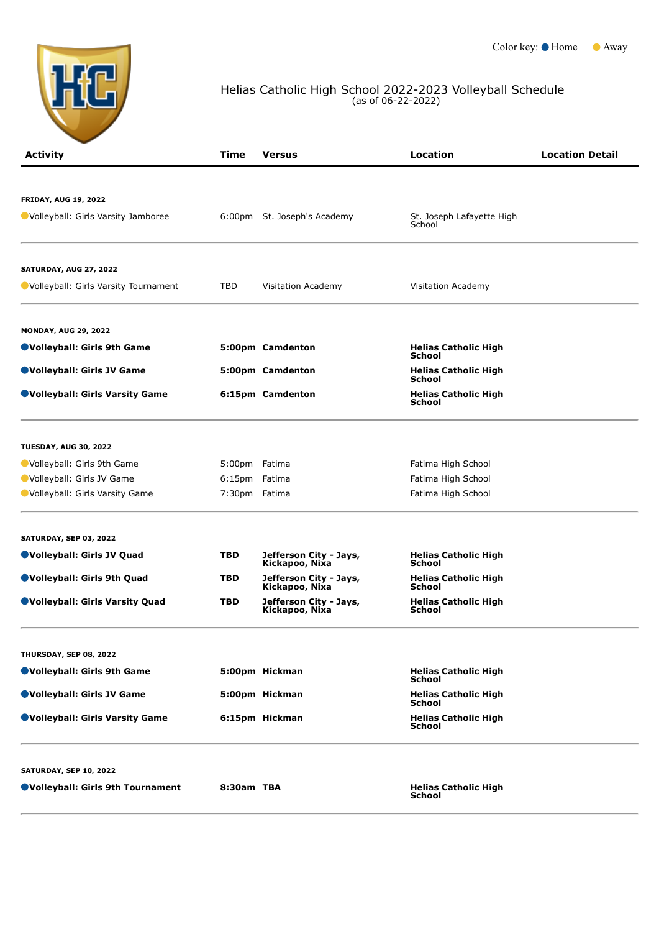

## Helias Catholic High School 2022-2023 Volleyball Schedule (as of 06-22-2022)

| <b>Activity</b>                        | Time          | <b>Versus</b>                            | Location                                     | <b>Location Detail</b> |
|----------------------------------------|---------------|------------------------------------------|----------------------------------------------|------------------------|
|                                        |               |                                          |                                              |                        |
| <b>FRIDAY, AUG 19, 2022</b>            |               |                                          |                                              |                        |
| ● Volleyball: Girls Varsity Jamboree   |               | 6:00pm St. Joseph's Academy              | St. Joseph Lafayette High<br>School          |                        |
| <b>SATURDAY, AUG 27, 2022</b>          |               |                                          |                                              |                        |
| ● Volleyball: Girls Varsity Tournament | TBD           | Visitation Academy                       | Visitation Academy                           |                        |
| <b>MONDAY, AUG 29, 2022</b>            |               |                                          |                                              |                        |
| ●Volleyball: Girls 9th Game            |               | 5:00pm Camdenton                         | <b>Helias Catholic High</b><br><b>School</b> |                        |
| ●Volleyball: Girls JV Game             |               | 5:00pm Camdenton                         | <b>Helias Catholic High</b><br>School        |                        |
| ●Volleyball: Girls Varsity Game        |               | 6:15pm Camdenton                         | <b>Helias Catholic High</b><br><b>School</b> |                        |
| <b>TUESDAY, AUG 30, 2022</b>           |               |                                          |                                              |                        |
| Volleyball: Girls 9th Game             | 5:00pm Fatima |                                          | Fatima High School                           |                        |
| Volleyball: Girls JV Game              | 6:15pm        | Fatima                                   | Fatima High School                           |                        |
| Volleyball: Girls Varsity Game         | 7:30pm Fatima |                                          | Fatima High School                           |                        |
| <b>SATURDAY, SEP 03, 2022</b>          |               |                                          |                                              |                        |
| Volleyball: Girls JV Quad              | <b>TBD</b>    | Jefferson City - Jays,<br>Kickapoo, Nixa | <b>Helias Catholic High</b><br><b>School</b> |                        |
| ●Volleyball: Girls 9th Quad            | <b>TBD</b>    | Jefferson City - Jays,<br>Kickapoo, Nixa | <b>Helias Catholic High</b><br>School        |                        |
| <b>OVolleyball: Girls Varsity Quad</b> | <b>TBD</b>    | Jefferson City - Jays,<br>Kickapoo, Nixa | <b>Helias Catholic High</b><br><b>School</b> |                        |
| THURSDAY, SEP 08, 2022                 |               |                                          |                                              |                        |
| ●Volleyball: Girls 9th Game            |               | 5:00pm Hickman                           | <b>Helias Catholic High</b><br>School        |                        |
| ●Volleyball: Girls JV Game             |               | 5:00pm Hickman                           | <b>Helias Catholic High</b><br><b>School</b> |                        |
| ●Volleyball: Girls Varsity Game        |               | 6:15pm Hickman                           | <b>Helias Catholic High</b><br>School        |                        |
| <b>SATURDAY, SEP 10, 2022</b>          |               |                                          |                                              |                        |
| ●Volleyball: Girls 9th Tournament      | 8:30am TBA    |                                          | <b>Helias Catholic High</b><br>School        |                        |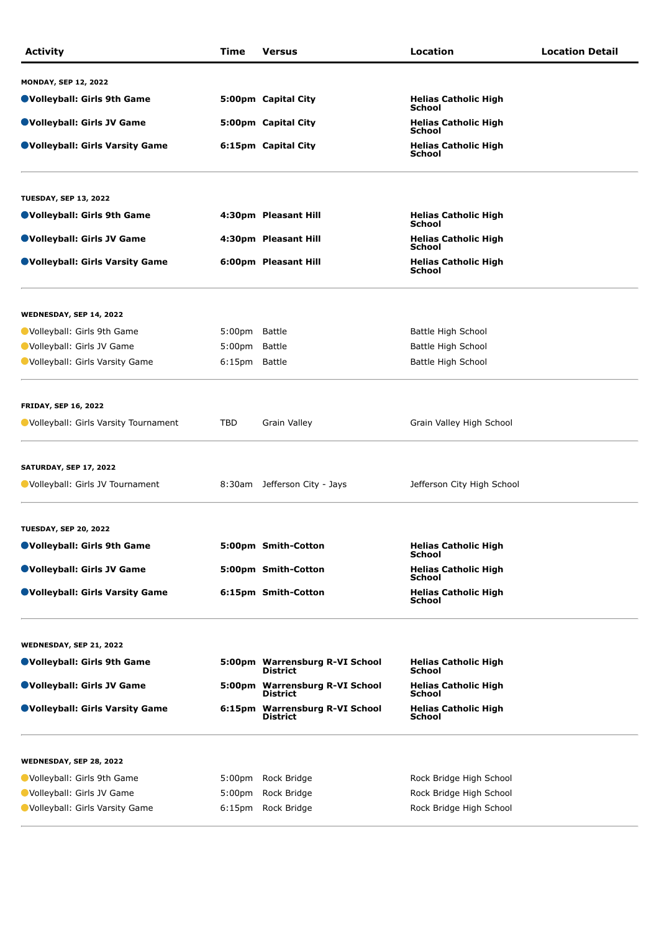| <b>Activity</b>                      | Time               | Versus                                            | Location                                     | <b>Location Detail</b> |
|--------------------------------------|--------------------|---------------------------------------------------|----------------------------------------------|------------------------|
| <b>MONDAY, SEP 12, 2022</b>          |                    |                                                   |                                              |                        |
| ●Volleyball: Girls 9th Game          |                    | 5:00pm Capital City                               | <b>Helias Catholic High</b><br>School        |                        |
| ●Volleyball: Girls JV Game           |                    | 5:00pm Capital City                               | <b>Helias Catholic High</b><br>School        |                        |
| ●Volleyball: Girls Varsity Game      |                    | 6:15pm Capital City                               | <b>Helias Catholic High</b><br><b>School</b> |                        |
| <b>TUESDAY, SEP 13, 2022</b>         |                    |                                                   |                                              |                        |
| ●Volleyball: Girls 9th Game          |                    | 4:30pm Pleasant Hill                              | <b>Helias Catholic High</b><br><b>School</b> |                        |
| ●Volleyball: Girls JV Game           |                    | 4:30pm Pleasant Hill                              | <b>Helias Catholic High</b><br>School        |                        |
| ●Volleyball: Girls Varsity Game      |                    | 6:00pm Pleasant Hill                              | <b>Helias Catholic High</b><br><b>School</b> |                        |
| WEDNESDAY, SEP 14, 2022              |                    |                                                   |                                              |                        |
| Volleyball: Girls 9th Game           | 5:00pm Battle      |                                                   | Battle High School                           |                        |
| Volleyball: Girls JV Game            | 5:00pm             | Battle                                            | Battle High School                           |                        |
| Volleyball: Girls Varsity Game       | 6:15pm Battle      |                                                   | Battle High School                           |                        |
| <b>FRIDAY, SEP 16, 2022</b>          |                    |                                                   |                                              |                        |
| Uolleyball: Girls Varsity Tournament | TBD                | Grain Valley                                      | Grain Valley High School                     |                        |
| <b>SATURDAY, SEP 17, 2022</b>        |                    |                                                   |                                              |                        |
| Volleyball: Girls JV Tournament      |                    | 8:30am Jefferson City - Jays                      | Jefferson City High School                   |                        |
| <b>TUESDAY, SEP 20, 2022</b>         |                    |                                                   |                                              |                        |
| ●Volleyball: Girls 9th Game          |                    | 5:00pm Smith-Cotton                               | <b>Helias Catholic High</b><br>School        |                        |
| ●Volleyball: Girls JV Game           |                    | 5:00pm Smith-Cotton                               | <b>Helias Catholic High</b><br>School        |                        |
| ●Volleyball: Girls Varsity Game      |                    | 6:15pm Smith-Cotton                               | <b>Helias Catholic High</b><br>School        |                        |
| WEDNESDAY, SEP 21, 2022              |                    |                                                   |                                              |                        |
| ●Volleyball: Girls 9th Game          |                    | 5:00pm Warrensburg R-VI School<br><b>District</b> | <b>Helias Catholic High</b><br>School        |                        |
| ●Volleyball: Girls JV Game           |                    | 5:00pm Warrensburg R-VI School<br><b>District</b> | <b>Helias Catholic High</b><br><b>School</b> |                        |
| ●Volleyball: Girls Varsity Game      |                    | 6:15pm Warrensburg R-VI School<br><b>District</b> | <b>Helias Catholic High</b><br>School        |                        |
| WEDNESDAY, SEP 28, 2022              |                    |                                                   |                                              |                        |
| Volleyball: Girls 9th Game           | 5:00pm             | Rock Bridge                                       | Rock Bridge High School                      |                        |
|                                      | 5:00 <sub>pm</sub> | Rock Bridge                                       | Rock Bridge High School                      |                        |
| Volleyball: Girls JV Game            |                    |                                                   |                                              |                        |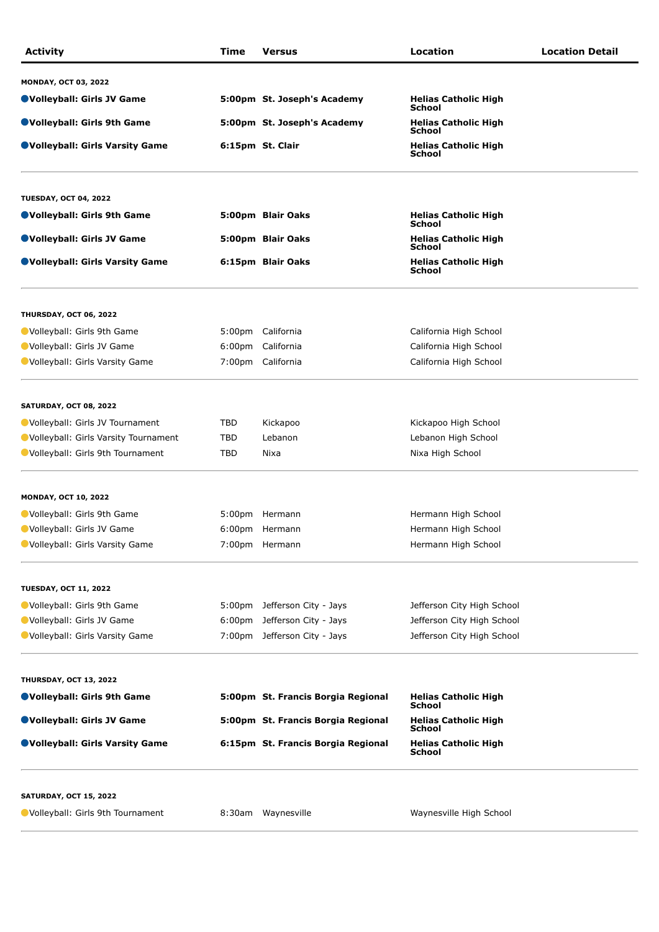| <b>Activity</b>                      | Time               | <b>Versus</b>                                                                      | Location                                               | <b>Location Detail</b> |
|--------------------------------------|--------------------|------------------------------------------------------------------------------------|--------------------------------------------------------|------------------------|
| <b>MONDAY, OCT 03, 2022</b>          |                    |                                                                                    |                                                        |                        |
| ●Volleyball: Girls JV Game           |                    | 5:00pm St. Joseph's Academy                                                        | <b>Helias Catholic High</b><br>School                  |                        |
| ●Volleyball: Girls 9th Game          |                    | 5:00pm St. Joseph's Academy                                                        | <b>Helias Catholic High</b><br>School                  |                        |
| ● Volleyball: Girls Varsity Game     |                    | 6:15pm St. Clair                                                                   | <b>Helias Catholic High</b><br>School                  |                        |
| <b>TUESDAY, OCT 04, 2022</b>         |                    |                                                                                    |                                                        |                        |
| ●Volleyball: Girls 9th Game          |                    | 5:00pm Blair Oaks                                                                  | <b>Helias Catholic High</b><br>School                  |                        |
| ●Volleyball: Girls JV Game           |                    | 5:00pm Blair Oaks                                                                  | <b>Helias Catholic High</b>                            |                        |
| ● Volleyball: Girls Varsity Game     |                    | 6:15pm Blair Oaks                                                                  | School<br><b>Helias Catholic High</b><br><b>School</b> |                        |
| <b>THURSDAY, OCT 06, 2022</b>        |                    |                                                                                    |                                                        |                        |
| Volleyball: Girls 9th Game           |                    | 5:00pm California                                                                  | California High School                                 |                        |
| Volleyball: Girls JV Game            | 6:00 <sub>pm</sub> | California                                                                         | California High School                                 |                        |
| Volleyball: Girls Varsity Game       |                    | 7:00pm California                                                                  | California High School                                 |                        |
| <b>SATURDAY, OCT 08, 2022</b>        |                    |                                                                                    |                                                        |                        |
| Volleyball: Girls JV Tournament      | TBD                | Kickapoo                                                                           | Kickapoo High School                                   |                        |
| Volleyball: Girls Varsity Tournament | TBD                | Lebanon                                                                            | Lebanon High School                                    |                        |
| Volleyball: Girls 9th Tournament     | TBD                | Nixa                                                                               | Nixa High School                                       |                        |
| <b>MONDAY, OCT 10, 2022</b>          |                    |                                                                                    |                                                        |                        |
| Volleyball: Girls 9th Game           |                    | 5:00pm Hermann                                                                     | Hermann High School                                    |                        |
| Volleyball: Girls JV Game            |                    | 6:00pm Hermann                                                                     | Hermann High School                                    |                        |
| Volleyball: Girls Varsity Game       |                    | 7:00pm Hermann                                                                     | Hermann High School                                    |                        |
| <b>TUESDAY, OCT 11, 2022</b>         |                    |                                                                                    |                                                        |                        |
| Volleyball: Girls 9th Game           |                    | 5:00pm Jefferson City - Jays                                                       | Jefferson City High School                             |                        |
| Volleyball: Girls JV Game            |                    | 6:00pm Jefferson City - Jays                                                       | Jefferson City High School                             |                        |
| Volleyball: Girls Varsity Game       |                    | 7:00pm Jefferson City - Jays                                                       | Jefferson City High School                             |                        |
| <b>THURSDAY, OCT 13, 2022</b>        |                    |                                                                                    |                                                        |                        |
| ●Volleyball: Girls 9th Game          |                    | 5:00pm St. Francis Borgia Regional                                                 | <b>Helias Catholic High</b><br><b>School</b>           |                        |
| ●Volleyball: Girls JV Game           |                    | 5:00pm St. Francis Borgia Regional                                                 | <b>Helias Catholic High</b><br><b>School</b>           |                        |
| ● Volleyball: Girls Varsity Game     |                    | 6:15pm St. Francis Borgia Regional<br><b>Helias Catholic High</b><br><b>School</b> |                                                        |                        |
| <b>SATURDAY, OCT 15, 2022</b>        |                    |                                                                                    |                                                        |                        |

Volleyball: Girls 9th Tournament 8:30am Waynesville [Waynesville High School](javascript:view_note(4486))